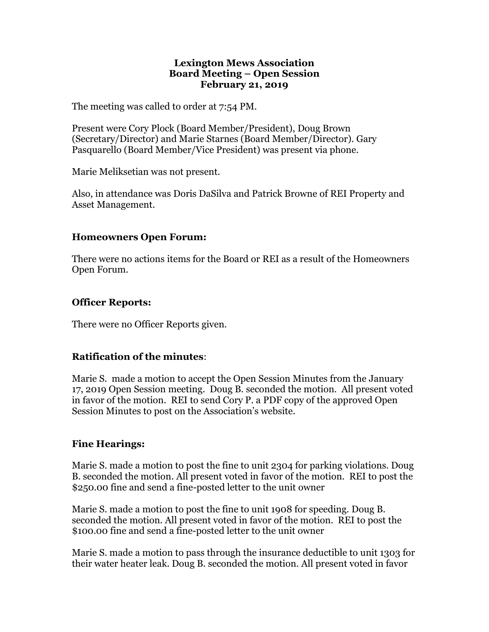#### **Lexington Mews Association Board Meeting – Open Session February 21, 2019**

The meeting was called to order at 7:54 PM.

Present were Cory Plock (Board Member/President), Doug Brown (Secretary/Director) and Marie Starnes (Board Member/Director). Gary Pasquarello (Board Member/Vice President) was present via phone.

Marie Meliksetian was not present.

Also, in attendance was Doris DaSilva and Patrick Browne of REI Property and Asset Management.

## **Homeowners Open Forum:**

There were no actions items for the Board or REI as a result of the Homeowners Open Forum.

## **Officer Reports:**

There were no Officer Reports given.

# **Ratification of the minutes**:

Marie S. made a motion to accept the Open Session Minutes from the January 17, 2019 Open Session meeting. Doug B. seconded the motion. All present voted in favor of the motion. REI to send Cory P. a PDF copy of the approved Open Session Minutes to post on the Association's website.

#### **Fine Hearings:**

Marie S. made a motion to post the fine to unit 2304 for parking violations. Doug B. seconded the motion. All present voted in favor of the motion. REI to post the \$250.00 fine and send a fine-posted letter to the unit owner

Marie S. made a motion to post the fine to unit 1908 for speeding. Doug B. seconded the motion. All present voted in favor of the motion. REI to post the \$100.00 fine and send a fine-posted letter to the unit owner

Marie S. made a motion to pass through the insurance deductible to unit 1303 for their water heater leak. Doug B. seconded the motion. All present voted in favor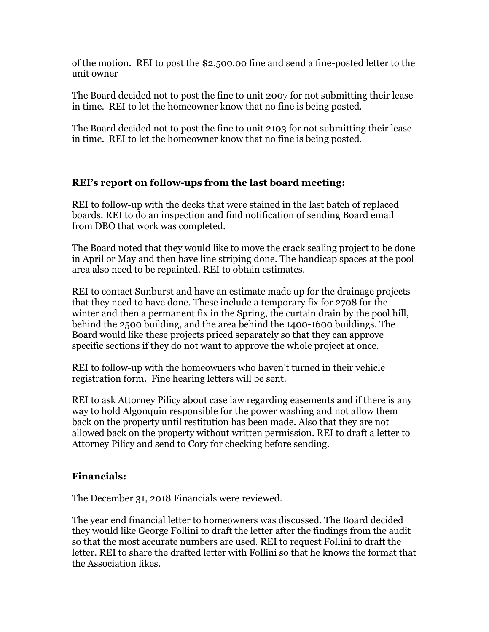of the motion. REI to post the \$2,500.00 fine and send a fine-posted letter to the unit owner

The Board decided not to post the fine to unit 2007 for not submitting their lease in time. REI to let the homeowner know that no fine is being posted.

The Board decided not to post the fine to unit 2103 for not submitting their lease in time. REI to let the homeowner know that no fine is being posted.

# **REI's report on follow-ups from the last board meeting:**

REI to follow-up with the decks that were stained in the last batch of replaced boards. REI to do an inspection and find notification of sending Board email from DBO that work was completed.

The Board noted that they would like to move the crack sealing project to be done in April or May and then have line striping done. The handicap spaces at the pool area also need to be repainted. REI to obtain estimates.

REI to contact Sunburst and have an estimate made up for the drainage projects that they need to have done. These include a temporary fix for 2708 for the winter and then a permanent fix in the Spring, the curtain drain by the pool hill, behind the 2500 building, and the area behind the 1400-1600 buildings. The Board would like these projects priced separately so that they can approve specific sections if they do not want to approve the whole project at once.

REI to follow-up with the homeowners who haven't turned in their vehicle registration form. Fine hearing letters will be sent.

REI to ask Attorney Pilicy about case law regarding easements and if there is any way to hold Algonquin responsible for the power washing and not allow them back on the property until restitution has been made. Also that they are not allowed back on the property without written permission. REI to draft a letter to Attorney Pilicy and send to Cory for checking before sending.

# **Financials:**

The December 31, 2018 Financials were reviewed.

The year end financial letter to homeowners was discussed. The Board decided they would like George Follini to draft the letter after the findings from the audit so that the most accurate numbers are used. REI to request Follini to draft the letter. REI to share the drafted letter with Follini so that he knows the format that the Association likes.